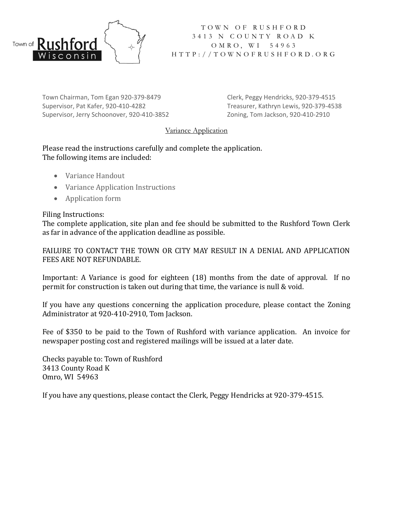

T O W N O F R U S H F O R D 3 4 1 3 N C O U N T Y R O A D K O M R O, W I 5 4 9 6 3 H T T P : / / T O W N O F R U S H F O R D . O R G

Town Chairman, Tom Egan 920-379-8479 Clerk, Peggy Hendricks, 920-379-4515 Supervisor, Pat Kafer, 920-410-4282 Treasurer, Kathryn Lewis, 920-379-4538 Supervisor, Jerry Schoonover, 920-410-3852 Zoning, Tom Jackson, 920-410-2910

## Variance Application

Please read the instructions carefully and complete the application. The following items are included:

- Variance Handout
- Variance Application Instructions
- Application form

## Filing Instructions:

The complete application, site plan and fee should be submitted to the Rushford Town Clerk as far in advance of the application deadline as possible.

FAILURE TO CONTACT THE TOWN OR CITY MAY RESULT IN A DENIAL AND APPLICATION FEES ARE NOT REFUNDABLE.

Important: A Variance is good for eighteen (18) months from the date of approval. If no permit for construction is taken out during that time, the variance is null & void.

If you have any questions concerning the application procedure, please contact the Zoning Administrator at 920-410-2910, Tom Jackson.

Fee of \$350 to be paid to the Town of Rushford with variance application. An invoice for newspaper posting cost and registered mailings will be issued at a later date.

Checks payable to: Town of Rushford 3413 County Road K Omro, WI 54963

If you have any questions, please contact the Clerk, Peggy Hendricks at 920-379-4515.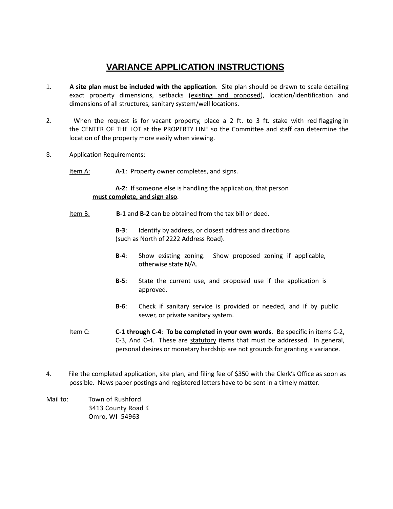## **VARIANCE APPLICATION INSTRUCTIONS**

- 1. **A site plan must be included with the application**. Site plan should be drawn to scale detailing exact property dimensions, setbacks (existing and proposed), location/identification and dimensions of all structures, sanitary system/well locations.
- 2. When the request is for vacant property, place a 2 ft. to 3 ft. stake with red flagging in the CENTER OF THE LOT at the PROPERTY LINE so the Committee and staff can determine the location of the property more easily when viewing.
- 3. Application Requirements:
	- Item A: **A-1**: Property owner completes, and signs.

**A-2**: If someone else is handling the application, that person **must complete, and sign also**.

Item B: **B-1** and **B-2** can be obtained from the tax bill or deed.

**B-3**: Identify by address, or closest address and directions (such as North of 2222 Address Road).

- **B-4**: Show existing zoning. Show proposed zoning if applicable, otherwise state N/A.
- **B-5**: State the current use, and proposed use if the application is approved.
- **B-6**: Check if sanitary service is provided or needed, and if by public sewer, or private sanitary system.
- Item C: **C-1 through C-4**: **To be completed in your own words**. Be specific in items C-2, C-3, And C-4. These are statutory items that must be addressed. In general, personal desires or monetary hardship are not grounds for granting a variance.
- 4. File the completed application, site plan, and filing fee of \$350 with the Clerk's Office as soon as possible. News paper postings and registered letters have to be sent in a timely matter.
- Mail to: Town of Rushford 3413 County Road K Omro, WI 54963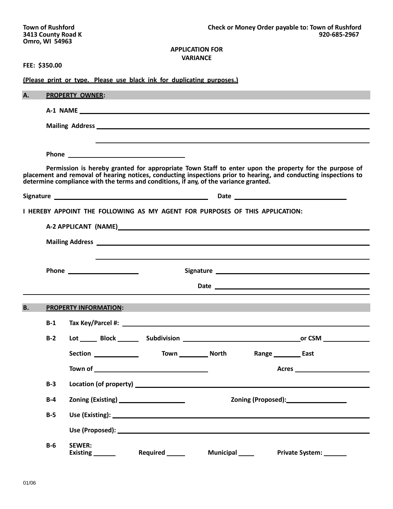## **APPLICATION FOR VARIANCE**

|  | FEE: \$350.00 |
|--|---------------|
|--|---------------|

|           |       | (Please print or type. Please use black ink for duplicating purposes.)                                                                                                                                                                                                                                            |  |  |
|-----------|-------|-------------------------------------------------------------------------------------------------------------------------------------------------------------------------------------------------------------------------------------------------------------------------------------------------------------------|--|--|
| <b>A.</b> |       | <b>PROPERTY OWNER:</b>                                                                                                                                                                                                                                                                                            |  |  |
|           |       |                                                                                                                                                                                                                                                                                                                   |  |  |
|           |       |                                                                                                                                                                                                                                                                                                                   |  |  |
|           |       |                                                                                                                                                                                                                                                                                                                   |  |  |
|           |       |                                                                                                                                                                                                                                                                                                                   |  |  |
|           |       | Permission is hereby granted for appropriate Town Staff to enter upon the property for the purpose of<br>placement and removal of hearing notices, conducting inspections prior to hearing, and conducting inspections to<br>determine compliance with the terms and conditions, if any, of the variance granted. |  |  |
|           |       |                                                                                                                                                                                                                                                                                                                   |  |  |
|           |       | I HEREBY APPOINT THE FOLLOWING AS MY AGENT FOR PURPOSES OF THIS APPLICATION:                                                                                                                                                                                                                                      |  |  |
|           |       |                                                                                                                                                                                                                                                                                                                   |  |  |
|           |       | Mailing Address <b>Andreas Mailing Address Andreas Address <b>Contract Address Address Address Address Address Address Address Address Address Address Address Address Address Address Address A</b></b>                                                                                                          |  |  |
|           |       |                                                                                                                                                                                                                                                                                                                   |  |  |
|           |       | Signature <u>experience and a series of the series of the series of the series of the series of the series of the series of the series of the series of the series of the series of the series of the series of the series of th</u>                                                                              |  |  |
|           |       |                                                                                                                                                                                                                                                                                                                   |  |  |
|           |       |                                                                                                                                                                                                                                                                                                                   |  |  |
| <b>B.</b> |       | <b>PROPERTY INFORMATION:</b>                                                                                                                                                                                                                                                                                      |  |  |
|           | $B-1$ |                                                                                                                                                                                                                                                                                                                   |  |  |
|           | $B-2$ | Lot Block Subdivision Communication CSM                                                                                                                                                                                                                                                                           |  |  |
|           |       | Town ____________ North<br>Section ______________<br>Range ___________ East                                                                                                                                                                                                                                       |  |  |
|           |       | Acres                                                                                                                                                                                                                                                                                                             |  |  |
|           | $B-3$ |                                                                                                                                                                                                                                                                                                                   |  |  |
|           | $B-4$ | Zoning (Proposed): 2011                                                                                                                                                                                                                                                                                           |  |  |
|           | $B-5$ |                                                                                                                                                                                                                                                                                                                   |  |  |
|           |       |                                                                                                                                                                                                                                                                                                                   |  |  |
|           | $B-6$ | <b>SEWER:</b><br>Existing Required Municipal Private System:                                                                                                                                                                                                                                                      |  |  |